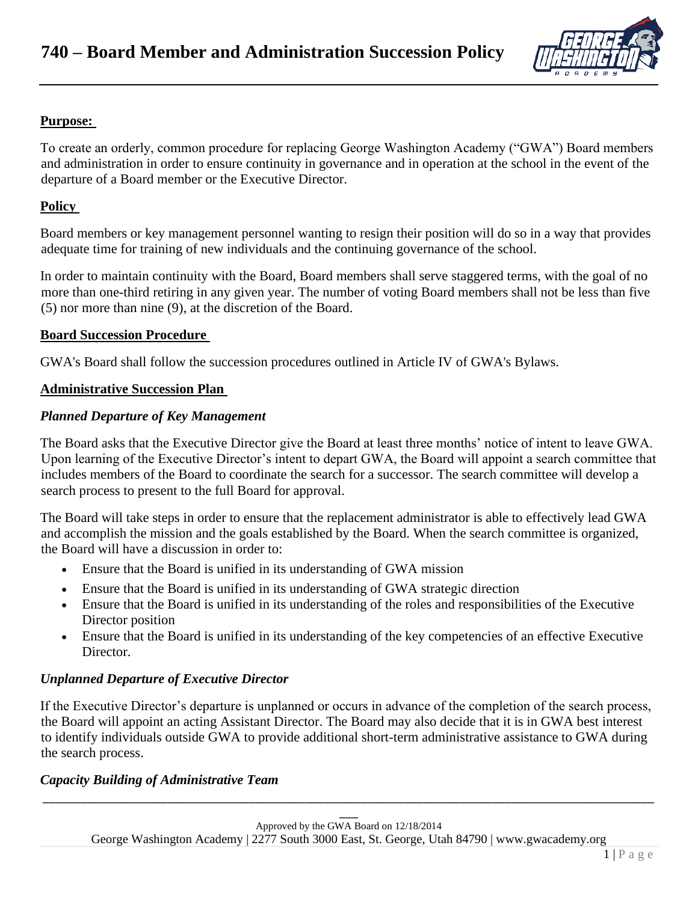

# **Purpose:**

To create an orderly, common procedure for replacing George Washington Academy ("GWA") Board members and administration in order to ensure continuity in governance and in operation at the school in the event of the departure of a Board member or the Executive Director.

## **Policy**

Board members or key management personnel wanting to resign their position will do so in a way that provides adequate time for training of new individuals and the continuing governance of the school.

In order to maintain continuity with the Board, Board members shall serve staggered terms, with the goal of no more than one-third retiring in any given year. The number of voting Board members shall not be less than five (5) nor more than nine (9), at the discretion of the Board.

#### **Board Succession Procedure**

GWA's Board shall follow the succession procedures outlined in Article IV of GWA's Bylaws.

#### **Administrative Succession Plan**

#### *Planned Departure of Key Management*

The Board asks that the Executive Director give the Board at least three months' notice of intent to leave GWA. Upon learning of the Executive Director's intent to depart GWA, the Board will appoint a search committee that includes members of the Board to coordinate the search for a successor. The search committee will develop a search process to present to the full Board for approval.

The Board will take steps in order to ensure that the replacement administrator is able to effectively lead GWA and accomplish the mission and the goals established by the Board. When the search committee is organized, the Board will have a discussion in order to:

- Ensure that the Board is unified in its understanding of GWA mission
- Ensure that the Board is unified in its understanding of GWA strategic direction
- Ensure that the Board is unified in its understanding of the roles and responsibilities of the Executive Director position
- Ensure that the Board is unified in its understanding of the key competencies of an effective Executive Director.

### *Unplanned Departure of Executive Director*

If the Executive Director's departure is unplanned or occurs in advance of the completion of the search process, the Board will appoint an acting Assistant Director. The Board may also decide that it is in GWA best interest to identify individuals outside GWA to provide additional short-term administrative assistance to GWA during the search process.

### *Capacity Building of Administrative Team*

\_\_\_\_\_\_\_\_\_\_\_\_\_\_\_\_\_\_\_\_\_\_\_\_\_\_\_\_\_\_\_\_\_\_\_\_\_\_\_\_\_\_\_\_\_\_\_\_\_\_\_\_\_\_\_\_\_\_\_\_\_\_\_\_\_\_\_\_\_\_\_\_\_\_\_\_\_\_\_\_\_\_\_\_\_\_\_\_\_\_\_\_\_\_\_\_\_\_